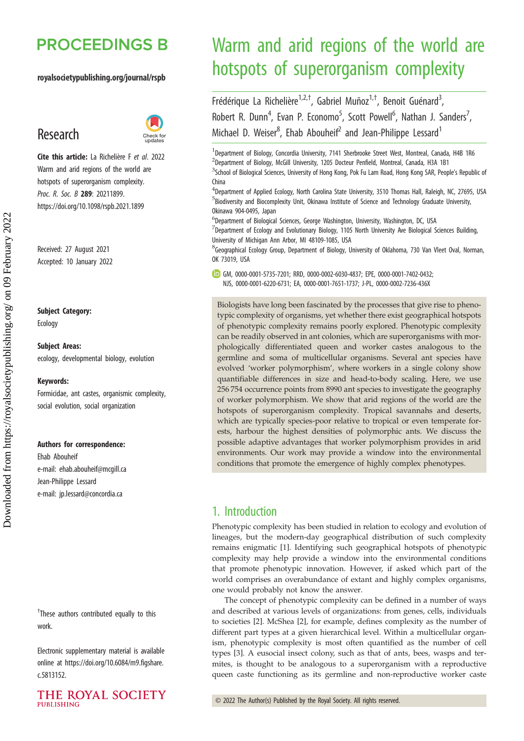# **PROCEEDINGS B**

#### royalsocietypublishing.org/journal/rspb

## Research



Cite this article: La Richelière F et al. 2022 Warm and arid regions of the world are hotspots of superorganism complexity. Proc. R. Soc. B 289: 20211899. https://doi.org/10.1098/rspb.2021.1899

Received: 27 August 2021 Accepted: 10 January 2022

Subject Category:

Ecology

Subject Areas: ecology, developmental biology, evolution

#### Keywords:

Formicidae, ant castes, organismic complexity, social evolution, social organization

#### Authors for correspondence:

Ehab Abouheif e-mail: [ehab.abouheif@mcgill.ca](mailto:ehab.abouheif@mcgill.ca) Jean-Philippe Lessard e-mail: [jp.lessard@concordia.ca](mailto:jp.lessard@concordia.ca)

<sup>†</sup>These authors contributed equally to this work.

Electronic supplementary material is available online at [https://doi.org/10.6084/m9.figshare.](https://doi.org/10.6084/m9.figshare.c.5813152) [c.5813152.](https://doi.org/10.6084/m9.figshare.c.5813152)



# Warm and arid regions of the world are hotspots of superorganism complexity

Frédérique La Richelière<sup>1,2,†</sup>, Gabriel Muñoz<sup>1,†</sup>, Benoit Guénard<sup>3</sup> .<br>, Robert R. Dunn<sup>4</sup>, Evan P. Economo<sup>5</sup>, Scott Powell<sup>6</sup>, Nathan J. Sanders<sup>7</sup> , Michael D. Weiser<sup>8</sup>, Ehab Abouheif<sup>2</sup> and Jean-Philippe Lessard<sup>1</sup>

<sup>1</sup>Department of Biology, Concordia University, 7141 Sherbrooke Street West, Montreal, Canada, H4B 1R6 <sup>2</sup>Department of Biology, McGill University, 1205 Docteur Penfield, Montreal, Canada, H3A 1B1 <sup>3</sup>School of Biological Sciences, University of Hong Kong, Pok Fu Lam Road, Hong Kong SAR, People's Republic ot China

<sup>4</sup>Department of Applied Ecology, North Carolina State University, 3510 Thomas Hall, Raleigh, NC, 27695, USA 5 Biodiversity and Biocomplexity Unit, Okinawa Institute of Science and Technology Graduate University, Okinawa 904-0495, Japan

<sup>6</sup>Department of Biological Sciences, George Washington, University, Washington, DC, USA  $^7$ Department of Ecology and Evolutionary Biology, 1105 North University Ave Biological Sciences Building, University of Michigan Ann Arbor, MI 48109-1085, USA

8 Geographical Ecology Group, Department of Biology, University of Oklahoma, 730 Van Vleet Oval, Norman, OK 73019, USA

GM, [0000-0001-5735-7201;](https://orcid.org/0000-0001-5735-7201) RRD, [0000-0002-6030-4837;](http://orcid.org/0000-0002-6030-4837) EPE, [0000-0001-7402-0432;](http://orcid.org/0000-0001-7402-0432) NJS, [0000-0001-6220-6731](http://orcid.org/0000-0001-6220-6731); EA, [0000-0001-7651-1737;](https://orcid.org/0000-0001-7651-1737) J-PL, [0000-0002-7236-436X](http://orcid.org/0000-0002-7236-436X)

Biologists have long been fascinated by the processes that give rise to phenotypic complexity of organisms, yet whether there exist geographical hotspots of phenotypic complexity remains poorly explored. Phenotypic complexity can be readily observed in ant colonies, which are superorganisms with morphologically differentiated queen and worker castes analogous to the germline and soma of multicellular organisms. Several ant species have evolved 'worker polymorphism', where workers in a single colony show quantifiable differences in size and head-to-body scaling. Here, we use 256 754 occurrence points from 8990 ant species to investigate the geography of worker polymorphism. We show that arid regions of the world are the hotspots of superorganism complexity. Tropical savannahs and deserts, which are typically species-poor relative to tropical or even temperate forests, harbour the highest densities of polymorphic ants. We discuss the possible adaptive advantages that worker polymorphism provides in arid environments. Our work may provide a window into the environmental conditions that promote the emergence of highly complex phenotypes.

## 1. Introduction

Phenotypic complexity has been studied in relation to ecology and evolution of lineages, but the modern-day geographical distribution of such complexity remains enigmatic [\[1\]](#page-7-0). Identifying such geographical hotspots of phenotypic complexity may help provide a window into the environmental conditions that promote phenotypic innovation. However, if asked which part of the world comprises an overabundance of extant and highly complex organisms, one would probably not know the answer.

The concept of phenotypic complexity can be defined in a number of ways and described at various levels of organizations: from genes, cells, individuals to societies [[2](#page-7-0)]. McShea [[2](#page-7-0)], for example, defines complexity as the number of different part types at a given hierarchical level. Within a multicellular organism, phenotypic complexity is most often quantified as the number of cell types [[3](#page-7-0)]. A eusocial insect colony, such as that of ants, bees, wasps and termites, is thought to be analogous to a superorganism with a reproductive queen caste functioning as its germline and non-reproductive worker caste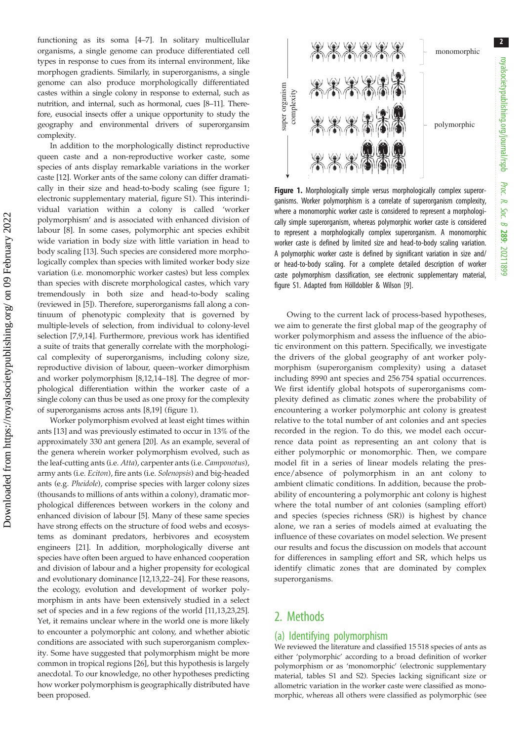Figure 1. Morphologically simple versus morphologically complex superorganisms. Worker polymorphism is a correlate of superorganism complexity, where a monomorphic worker caste is considered to represent a morphologically simple superorganism, whereas polymorphic worker caste is considered to represent a morphologically complex superorganism. A monomorphic worker caste is defined by limited size and head-to-body scaling variation. A polymorphic worker caste is defined by significant variation in size and/ or head-to-body scaling. For a complete detailed description of worker caste polymorphism classification, see electronic supplementary material,

Owing to the current lack of process-based hypotheses, we aim to generate the first global map of the geography of worker polymorphism and assess the influence of the abiotic environment on this pattern. Specifically, we investigate the drivers of the global geography of ant worker polymorphism (superorganism complexity) using a dataset including 8990 ant species and 256 754 spatial occurrences. We first identify global hotspots of superorganisms complexity defined as climatic zones where the probability of encountering a worker polymorphic ant colony is greatest relative to the total number of ant colonies and ant species recorded in the region. To do this, we model each occurrence data point as representing an ant colony that is either polymorphic or monomorphic. Then, we compare model fit in a series of linear models relating the presence/absence of polymorphism in an ant colony to ambient climatic conditions. In addition, because the probability of encountering a polymorphic ant colony is highest where the total number of ant colonies (sampling effort) and species (species richness (SR)) is highest by chance alone, we ran a series of models aimed at evaluating the influence of these covariates on model selection. We present our results and focus the discussion on models that account for differences in sampling effort and SR, which helps us identify climatic zones that are dominated by complex superorganisms.

figure S1. Adapted from Hölldobler & Wilson [\[9](#page-7-0)].

## 2. Methods

#### (a) Identifying polymorphism

We reviewed the literature and classified 15 518 species of ants as either 'polymorphic' according to a broad definition of worker polymorphism or as 'monomorphic' (electronic supplementary material, tables S1 and S2). Species lacking significant size or allometric variation in the worker caste were classified as monomorphic, whereas all others were classified as polymorphic (see

functioning as its soma [[4](#page-7-0)–[7\]](#page-7-0). In solitary multicellular organisms, a single genome can produce differentiated cell types in response to cues from its internal environment, like morphogen gradients. Similarly, in superorganisms, a single genome can also produce morphologically differentiated castes within a single colony in response to external, such as nutrition, and internal, such as hormonal, cues [[8](#page-7-0)–[11\]](#page-7-0). Therefore, eusocial insects offer a unique opportunity to study the geography and environmental drivers of superorgansim complexity.

In addition to the morphologically distinct reproductive queen caste and a non-reproductive worker caste, some species of ants display remarkable variations in the worker caste [[12\]](#page-7-0). Worker ants of the same colony can differ dramatically in their size and head-to-body scaling (see figure 1; electronic supplementary material, figure S1). This interindividual variation within a colony is called 'worker polymorphism' and is associated with enhanced division of labour [\[8\]](#page-7-0). In some cases, polymorphic ant species exhibit wide variation in body size with little variation in head to body scaling [[13\]](#page-7-0). Such species are considered more morphologically complex than species with limited worker body size variation (i.e. monomorphic worker castes) but less complex than species with discrete morphological castes, which vary tremendously in both size and head-to-body scaling (reviewed in [\[5\]](#page-7-0)). Therefore, superorganisms fall along a continuum of phenotypic complexity that is governed by multiple-levels of selection, from individual to colony-level selection [[7,9,14](#page-7-0)]. Furthermore, previous work has identified a suite of traits that generally correlate with the morphological complexity of superorganisms, including colony size, reproductive division of labour, queen–worker dimorphism and worker polymorphism [[8](#page-7-0),[12,14](#page-7-0)–[18](#page-7-0)]. The degree of morphological differentiation within the worker caste of a single colony can thus be used as one proxy for the complexity of superorganisms across ants [[8,19](#page-7-0)] (figure 1).

Worker polymorphism evolved at least eight times within ants [\[13](#page-7-0)] and was previously estimated to occur in 13% of the approximately 330 ant genera [\[20](#page-7-0)]. As an example, several of the genera wherein worker polymorphism evolved, such as the leaf-cutting ants (i.e. Atta), carpenter ants (i.e. Camponotus), army ants (i.e. Eciton), fire ants (i.e. Solenopsis) and big-headed ants (e.g. Pheidole), comprise species with larger colony sizes (thousands to millions of ants within a colony), dramatic morphological differences between workers in the colony and enhanced division of labour [\[5\]](#page-7-0). Many of these same species have strong effects on the structure of food webs and ecosystems as dominant predators, herbivores and ecosystem engineers [\[21](#page-7-0)]. In addition, morphologically diverse ant species have often been argued to have enhanced cooperation and division of labour and a higher propensity for ecological and evolutionary dominance [\[12](#page-7-0),[13,22](#page-7-0)–[24](#page-7-0)]. For these reasons, the ecology, evolution and development of worker polymorphism in ants have been extensively studied in a select set of species and in a few regions of the world [\[11,13,23,25](#page-7-0)]. Yet, it remains unclear where in the world one is more likely to encounter a polymorphic ant colony, and whether abiotic conditions are associated with such superorganism complexity. Some have suggested that polymorphism might be more common in tropical regions [[26\]](#page-7-0), but this hypothesis is largely anecdotal. To our knowledge, no other hypotheses predicting how worker polymorphism is geographically distributed have been proposed.



Proc. R. Soc. $\sigma$ 

289: 20211899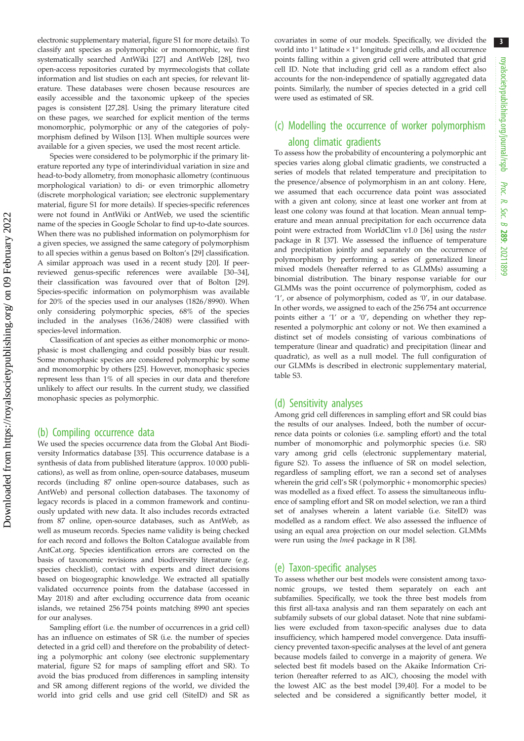electronic supplementary material, figure S1 for more details). To classify ant species as polymorphic or monomorphic, we first systematically searched AntWiki [[27](#page-7-0)] and AntWeb [[28](#page-7-0)], two open-access repositories curated by myrmecologists that collate information and list studies on each ant species, for relevant literature. These databases were chosen because resources are easily accessible and the taxonomic upkeep of the species pages is consistent [[27,28\]](#page-7-0). Using the primary literature cited on these pages, we searched for explicit mention of the terms monomorphic, polymorphic or any of the categories of polymorphism defined by Wilson [\[13\]](#page-7-0). When multiple sources were available for a given species, we used the most recent article.

Species were considered to be polymorphic if the primary literature reported any type of interindividual variation in size and head-to-body allometry, from monophasic allometry (continuous morphological variation) to di- or even trimorphic allometry (discrete morphological variation; see electronic supplementary material, figure S1 for more details). If species-specific references were not found in AntWiki or AntWeb, we used the scientific name of the species in Google Scholar to find up-to-date sources. When there was no published information on polymorphism for a given species, we assigned the same category of polymorphism to all species within a genus based on Bolton's [\[29\]](#page-7-0) classification. A similar approach was used in a recent study [\[20\]](#page-7-0). If peerreviewed genus-specific references were available [\[30](#page-7-0)–[34\]](#page-7-0), their classification was favoured over that of Bolton [\[29\]](#page-7-0). Species-specific information on polymorphism was available for 20% of the species used in our analyses (1826/8990). When only considering polymorphic species, 68% of the species included in the analyses (1636/2408) were classified with species-level information.

Classification of ant species as either monomorphic or monophasic is most challenging and could possibly bias our result. Some monophasic species are considered polymorphic by some and monomorphic by others [\[25\]](#page-7-0). However, monophasic species represent less than 1% of all species in our data and therefore unlikely to affect our results. In the current study, we classified monophasic species as polymorphic.

#### (b) Compiling occurrence data

We used the species occurrence data from the Global Ant Biodiversity Informatics database [\[35\]](#page-7-0). This occurrence database is a synthesis of data from published literature (approx. 10 000 publications), as well as from online, open-source databases, museum records (including 87 online open-source databases, such as AntWeb) and personal collection databases. The taxonomy of legacy records is placed in a common framework and continuously updated with new data. It also includes records extracted from 87 online, open-source databases, such as AntWeb, as well as museum records. Species name validity is being checked for each record and follows the Bolton Catalogue available from AntCat.org. Species identification errors are corrected on the basis of taxonomic revisions and biodiversity literature (e.g. species checklist), contact with experts and direct decisions based on biogeographic knowledge. We extracted all spatially validated occurrence points from the database (accessed in May 2018) and after excluding occurrence data from oceanic islands, we retained 256 754 points matching 8990 ant species for our analyses.

Sampling effort (i.e. the number of occurrences in a grid cell) has an influence on estimates of SR (i.e. the number of species detected in a grid cell) and therefore on the probability of detecting a polymorphic ant colony (see electronic supplementary material, figure S2 for maps of sampling effort and SR). To avoid the bias produced from differences in sampling intensity and SR among different regions of the world, we divided the world into grid cells and use grid cell (SiteID) and SR as covariates in some of our models. Specifically, we divided the world into 1° latitude × 1° longitude grid cells, and all occurrence points falling within a given grid cell were attributed that grid cell ID. Note that including grid cell as a random effect also accounts for the non-independence of spatially aggregated data points. Similarly, the number of species detected in a grid cell were used as estimated of SR.

## (c) Modelling the occurrence of worker polymorphism along climatic gradients

To assess how the probability of encountering a polymorphic ant species varies along global climatic gradients, we constructed a series of models that related temperature and precipitation to the presence/absence of polymorphism in an ant colony. Here, we assumed that each occurrence data point was associated with a given ant colony, since at least one worker ant from at least one colony was found at that location. Mean annual temperature and mean annual precipitation for each occurrence data point were extracted from WorldClim v1.0 [\[36\]](#page-7-0) using the raster package in R [\[37\]](#page-7-0). We assessed the influence of temperature and precipitation jointly and separately on the occurrence of polymorphism by performing a series of generalized linear mixed models (hereafter referred to as GLMMs) assuming a binomial distribution. The binary response variable for our GLMMs was the point occurrence of polymorphism, coded as '1', or absence of polymorphism, coded as '0', in our database. In other words, we assigned to each of the 256 754 ant occurrence points either a '1' or a '0', depending on whether they represented a polymorphic ant colony or not. We then examined a distinct set of models consisting of various combinations of temperature (linear and quadratic) and precipitation (linear and quadratic), as well as a null model. The full configuration of our GLMMs is described in electronic supplementary material, table S3.

#### (d) Sensitivity analyses

Among grid cell differences in sampling effort and SR could bias the results of our analyses. Indeed, both the number of occurrence data points or colonies (i.e. sampling effort) and the total number of monomorphic and polymorphic species (i.e. SR) vary among grid cells (electronic supplementary material, figure S2). To assess the influence of SR on model selection, regardless of sampling effort, we ran a second set of analyses wherein the grid cell's SR (polymorphic + monomorphic species) was modelled as a fixed effect. To assess the simultaneous influence of sampling effort and SR on model selection, we ran a third set of analyses wherein a latent variable (i.e. SiteID) was modelled as a random effect. We also assessed the influence of using an equal area projection on our model selection. GLMMs were run using the lme4 package in R [\[38\]](#page-7-0).

#### (e) Taxon-specific analyses

To assess whether our best models were consistent among taxonomic groups, we tested them separately on each ant subfamilies. Specifically, we took the three best models from this first all-taxa analysis and ran them separately on each ant subfamily subsets of our global dataset. Note that nine subfamilies were excluded from taxon-specific analyses due to data insufficiency, which hampered model convergence. Data insufficiency prevented taxon-specific analyses at the level of ant genera because models failed to converge in a majority of genera. We selected best fit models based on the Akaike Information Criterion (hereafter referred to as AIC), choosing the model with the lowest AIC as the best model [[39](#page-7-0),[40](#page-7-0)]. For a model to be selected and be considered a significantly better model, it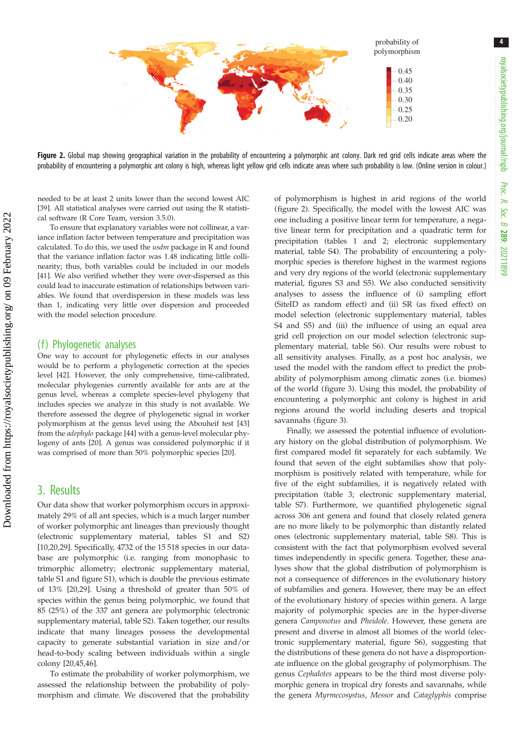<span id="page-3-0"></span>

Figure 2. Global map showing geographical variation in the probability of encountering a polymorphic ant colony. Dark red grid cells indicate areas where the probability of encountering a polymorphic ant colony is high, whereas light yellow grid cells indicate areas where such probability is low. (Online version in colour.)

needed to be at least 2 units lower than the second lowest AIC [\[39\]](#page-7-0). All statistical analyses were carried out using the R statistical software (R Core Team, version 3.5.0).

To ensure that explanatory variables were not collinear, a variance inflation factor between temperature and precipitation was calculated. To do this, we used the usdm package in R and found that the variance inflation factor was 1.48 indicating little collinearity; thus, both variables could be included in our models [\[41\]](#page-7-0). We also verified whether they were over-dispersed as this could lead to inaccurate estimation of relationships between variables. We found that overdispersion in these models was less than 1, indicating very little over dispersion and proceeded with the model selection procedure.

#### (f) Phylogenetic analyses

One way to account for phylogenetic effects in our analyses would be to perform a phylogenetic correction at the species level [\[42\]](#page-7-0). However, the only comprehensive, time-calibrated, molecular phylogenies currently available for ants are at the genus level, whereas a complete species-level phylogeny that includes species we analyze in this study is not available. We therefore assessed the degree of phylogenetic signal in worker polymorphism at the genus level using the Abouheif test [\[43\]](#page-7-0) from the adephylo package [[44](#page-7-0)] with a genus-level molecular phylogeny of ants [[20](#page-7-0)]. A genus was considered polymorphic if it was comprised of more than 50% polymorphic species [[20](#page-7-0)].

### 3. Results

Our data show that worker polymorphism occurs in approximately 29% of all ant species, which is a much larger number of worker polymorphic ant lineages than previously thought (electronic supplementary material, tables S1 and S2) [\[10](#page-7-0),[20,29\]](#page-7-0). Specifically, 4732 of the 15 518 species in our database are polymorphic (i.e. ranging from monophasic to trimorphic allometry; electronic supplementary material, table S1 and figure S1), which is double the previous estimate of 13% [[20,29](#page-7-0)]. Using a threshold of greater than 50% of species within the genus being polymorphic, we found that 85 (25%) of the 337 ant genera are polymorphic (electronic supplementary material, table S2). Taken together, our results indicate that many lineages possess the developmental capacity to generate substantial variation in size and/or head-to-body scaling between individuals within a single colony [[20,45,46](#page-7-0)].

To estimate the probability of worker polymorphism, we assessed the relationship between the probability of polymorphism and climate. We discovered that the probability of polymorphism is highest in arid regions of the world (figure 2). Specifically, the model with the lowest AIC was one including a positive linear term for temperature, a negative linear term for precipitation and a quadratic term for precipitation (tables [1](#page-4-0) and [2](#page-4-0); electronic supplementary material, table S4). The probability of encountering a polymorphic species is therefore highest in the warmest regions and very dry regions of the world (electronic supplementary material, figures S3 and S5). We also conducted sensitivity analyses to assess the influence of (i) sampling effort (SiteID as random effect) and (ii) SR (as fixed effect) on model selection (electronic supplementary material, tables S4 and S5) and (iii) the influence of using an equal area grid cell projection on our model selection (electronic supplementary material, table S6). Our results were robust to all sensitivity analyses. Finally, as a post hoc analysis, we used the model with the random effect to predict the probability of polymorphism among climatic zones (i.e. biomes) of the world [\(figure 3\)](#page-5-0). Using this model, the probability of encountering a polymorphic ant colony is highest in arid regions around the world including deserts and tropical savannahs [\(figure 3](#page-5-0)).

Finally, we assessed the potential influence of evolutionary history on the global distribution of polymorphism. We first compared model fit separately for each subfamily. We found that seven of the eight subfamilies show that polymorphism is positively related with temperature, while for five of the eight subfamilies, it is negatively related with precipitation ([table 3](#page-5-0); electronic supplementary material, table S7). Furthermore, we quantified phylogenetic signal across 306 ant genera and found that closely related genera are no more likely to be polymorphic than distantly related ones (electronic supplementary material, table S8). This is consistent with the fact that polymorphism evolved several times independently in specific genera. Together, these analyses show that the global distribution of polymorphism is not a consequence of differences in the evolutionary history of subfamilies and genera. However, there may be an effect of the evolutionary history of species within genera. A large majority of polymorphic species are in the hyper-diverse genera Camponotus and Pheidole. However, these genera are present and diverse in almost all biomes of the world (electronic supplementary material, figure S6), suggesting that the distributions of these genera do not have a disproportionate influence on the global geography of polymorphism. The genus Cephalotes appears to be the third most diverse polymorphic genera in tropical dry forests and savannahs, while the genera Myrmecosystus, Messor and Cataglyphis comprise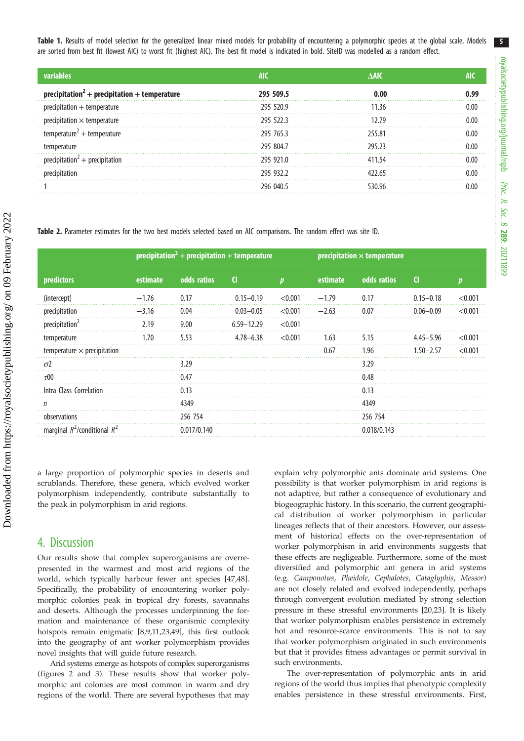5

<span id="page-4-0"></span>Table 1. Results of model selection for the generalized linear mixed models for probability of encountering a polymorphic species at the global scale. Models are sorted from best fit (lowest AIC) to worst fit (highest AIC). The best fit model is indicated in bold. SiteID was modelled as a random effect.

|                                      | AIC              | VAIC  |  |
|--------------------------------------|------------------|-------|--|
| oitatıon + temperature               | 295 509.5        |       |  |
| ation + temperature:                 | 295 520.9        | 136   |  |
|                                      | 295 522.3        |       |  |
| :perature <sup>2</sup> + temperature | 295 765.3        | 55.81 |  |
|                                      | 295 804.7        |       |  |
|                                      | 295 921 0        | 1 54  |  |
|                                      | 295 932 2        |       |  |
|                                      | <u>796 በ4በ 5</u> |       |  |

Table 2. Parameter estimates for the two best models selected based on AIC comparisons. The random effect was site ID.

|                                    |          | precipitation <sup>2</sup> + precipitation + temperature |                |              |          | precipitation $\times$ temperature |               |         |  |
|------------------------------------|----------|----------------------------------------------------------|----------------|--------------|----------|------------------------------------|---------------|---------|--|
| predictors                         | estimate | odds ratios                                              | <b>CI</b>      | $\mathbf{n}$ | estimate | odds ratios                        | <sup>d</sup>  |         |  |
| (intercept)                        | $-1.76$  | 0.17                                                     | $0.15 - 0.19$  | < 0.001      | $-1.79$  | 0.17                               | $0.15 - 0.18$ | < 0.001 |  |
| precipitation                      | $-3.16$  | 0.04                                                     | $0.03 - 0.05$  | < 0.001      | $-2.63$  | 0.07                               | $0.06 - 0.09$ | < 0.001 |  |
| precipitation <sup>2</sup>         | 2.19     | 9.00                                                     | $6.59 - 12.29$ | < 0.001      |          |                                    |               |         |  |
| temperature                        | 1.70     | 5.53                                                     | $4.78 - 6.38$  | < 0.001      | 1.63     | 5.15                               | $4.45 - 5.96$ | < 0.001 |  |
| temperature $\times$ precipitation |          |                                                          |                |              | 0.67     | 1.96                               | $1.50 - 2.57$ | < 0.001 |  |
| $\sigma$ 2                         |          | 3.29                                                     |                |              |          | 3.29                               |               |         |  |
| $\tau$ 00                          |          | 0.47                                                     |                |              |          | 0.48                               |               |         |  |
| Intra Class Correlation            |          | 0.13                                                     |                |              |          | 0.13                               |               |         |  |
| n                                  |          | 4349                                                     |                |              |          | 4349                               |               |         |  |
| observations                       |          | 256 754                                                  |                |              |          | 256 754                            |               |         |  |
| marginal $R^2$ /conditional $R^2$  |          | 0.017/0.140                                              |                |              |          | 0.018/0.143                        |               |         |  |

a large proportion of polymorphic species in deserts and scrublands. Therefore, these genera, which evolved worker polymorphism independently, contribute substantially to the peak in polymorphism in arid regions.

### 4. Discussion

Our results show that complex superorganisms are overrepresented in the warmest and most arid regions of the world, which typically harbour fewer ant species [\[47,48](#page-7-0)]. Specifically, the probability of encountering worker polymorphic colonies peak in tropical dry forests, savannahs and deserts. Although the processes underpinning the formation and maintenance of these organismic complexity hotspots remain enigmatic [\[8,9,11](#page-7-0),[23,49\]](#page-7-0), this first outlook into the geography of ant worker polymorphism provides novel insights that will guide future research.

Arid systems emerge as hotspots of complex superorganisms (figures [2](#page-3-0) and [3\)](#page-5-0). These results show that worker polymorphic ant colonies are most common in warm and dry regions of the world. There are several hypotheses that may explain why polymorphic ants dominate arid systems. One possibility is that worker polymorphism in arid regions is not adaptive, but rather a consequence of evolutionary and biogeographic history. In this scenario, the current geographical distribution of worker polymorphism in particular lineages reflects that of their ancestors. However, our assessment of historical effects on the over-representation of worker polymorphism in arid environments suggests that these effects are negligeable. Furthermore, some of the most diversified and polymorphic ant genera in arid systems (e.g. Camponotus, Pheidole, Cephalotes, Cataglyphis, Messor) are not closely related and evolved independently, perhaps through convergent evolution mediated by strong selection pressure in these stressful environments [[20,23](#page-7-0)]. It is likely that worker polymorphism enables persistence in extremely hot and resource-scarce environments. This is not to say that worker polymorphism originated in such environments but that it provides fitness advantages or permit survival in such environments.

The over-representation of polymorphic ants in arid regions of the world thus implies that phenotypic complexity enables persistence in these stressful environments. First,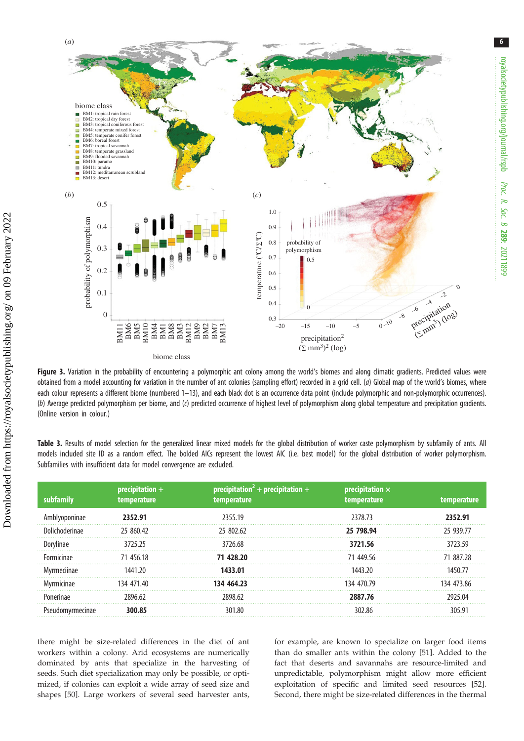<span id="page-5-0"></span>

Figure 3. Variation in the probability of encountering a polymorphic ant colony among the world's biomes and along climatic gradients. Predicted values were obtained from a model accounting for variation in the number of ant colonies (sampling effort) recorded in a grid cell. (a) Global map of the world's biomes, where each colour represents a different biome (numbered 1–13), and each black dot is an occurrence data point (include polymorphic and non-polymorphic occurrences). (b) Average predicted polymorphism per biome, and (c) predicted occurrence of highest level of polymorphism along global temperature and precipitation gradients. (Online version in colour.)

|  |  |                                                                        |  |  |  |  | Table 3. Results of model selection for the generalized linear mixed models for the global distribution of worker caste polymorphism by subfamily of ants. All |  |  |
|--|--|------------------------------------------------------------------------|--|--|--|--|----------------------------------------------------------------------------------------------------------------------------------------------------------------|--|--|
|  |  |                                                                        |  |  |  |  | models included site ID as a random effect. The bolded AICs represent the lowest AIC (i.e. best model) for the global distribution of worker polymorphism.     |  |  |
|  |  | Subfamilies with insufficient data for model convergence are excluded. |  |  |  |  |                                                                                                                                                                |  |  |

| subfamily        | $precription +$<br>temperature | $precription2 + precipitation +$<br>temperature | $precipitation \times$<br>temperature | temperature |
|------------------|--------------------------------|-------------------------------------------------|---------------------------------------|-------------|
| ivoponinae       | 2352.91                        | 2355.19                                         | 2378.73                               | 2352.91     |
| Dolichoderinae   | 25 860.42                      | 25 802.62                                       | 25 798.94                             | 25 939.77   |
| Jorvlinae        | 3725 25                        | 3726.68                                         | 3721.56                               | 3723.59     |
| Formicinae       | 71 456.18                      | 71 428.20                                       | 71 449.56                             | 71 887 28   |
| Myrmeciinae      | 1441.20                        | 1433.01                                         | 1443 20                               | 1450 77     |
| Mvrmicinae       | 134 471 40                     | 134 464.23                                      | 134 470.79                            | 134 473.86  |
| Ponerinae        | 2896 62                        | 2898.62                                         | 2887.76                               | ንዓንና በ4     |
| Pseudomyrmecinae | 300.85                         | 301.80                                          | 302.86                                | 305 91      |

there might be size-related differences in the diet of ant workers within a colony. Arid ecosystems are numerically dominated by ants that specialize in the harvesting of seeds. Such diet specialization may only be possible, or optimized, if colonies can exploit a wide array of seed size and shapes [[50\]](#page-8-0). Large workers of several seed harvester ants, for example, are known to specialize on larger food items than do smaller ants within the colony [\[51](#page-8-0)]. Added to the fact that deserts and savannahs are resource-limited and unpredictable, polymorphism might allow more efficient exploitation of specific and limited seed resources [[52\]](#page-8-0). Second, there might be size-related differences in the thermal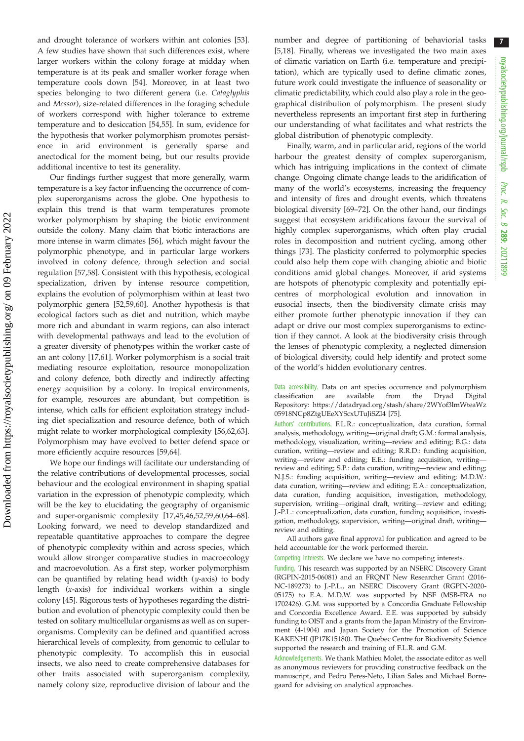7

and drought tolerance of workers within ant colonies [\[53](#page-8-0)]. A few studies have shown that such differences exist, where larger workers within the colony forage at midday when temperature is at its peak and smaller worker forage when temperature cools down [\[54](#page-8-0)]. Moreover, in at least two species belonging to two different genera (i.e. Cataglyphis and Messor), size-related differences in the foraging schedule of workers correspond with higher tolerance to extreme temperature and to desiccation [\[54,55](#page-8-0)]. In sum, evidence for the hypothesis that worker polymorphism promotes persistence in arid environment is generally sparse and anectodical for the moment being, but our results provide additional incentive to test its generality.

Our findings further suggest that more generally, warm temperature is a key factor influencing the occurrence of complex superorganisms across the globe. One hypothesis to explain this trend is that warm temperatures promote worker polymorphism by shaping the biotic environment outside the colony. Many claim that biotic interactions are more intense in warm climates [[56\]](#page-8-0), which might favour the polymorphic phenotype, and in particular large workers involved in colony defence, through selection and social regulation [\[57,58](#page-8-0)]. Consistent with this hypothesis, ecological specialization, driven by intense resource competition, explains the evolution of polymorphism within at least two polymorphic genera [[52,59,60](#page-8-0)]. Another hypothesis is that ecological factors such as diet and nutrition, which maybe more rich and abundant in warm regions, can also interact with developmental pathways and lead to the evolution of a greater diversity of phenotypes within the worker caste of an ant colony [\[17](#page-7-0)[,61](#page-8-0)]. Worker polymorphism is a social trait mediating resource exploitation, resource monopolization and colony defence, both directly and indirectly affecting energy acquisition by a colony. In tropical environments, for example, resources are abundant, but competition is intense, which calls for efficient exploitation strategy including diet specialization and resource defence, both of which might relate to worker morphological complexity [[56,62,63](#page-8-0)]. Polymorphism may have evolved to better defend space or more efficiently acquire resources [\[59](#page-8-0),[64\]](#page-8-0).

We hope our findings will facilitate our understanding of the relative contributions of developmental processes, social behaviour and the ecological environment in shaping spatial variation in the expression of phenotypic complexity, which will be the key to elucidating the geography of organismic and super-organismic complexity [\[17](#page-7-0),[45,46,](#page-7-0)[52,59](#page-8-0),[60,64](#page-8-0)–[68](#page-8-0)]. Looking forward, we need to develop standardized and repeatable quantitative approaches to compare the degree of phenotypic complexity within and across species, which would allow stronger comparative studies in macroecology and macroevolution. As a first step, worker polymorphism can be quantified by relating head width (y-axis) to body length (x-axis) for individual workers within a single colony [\[45](#page-7-0)]. Rigorous tests of hypotheses regarding the distribution and evolution of phenotypic complexity could then be tested on solitary multicellular organisms as well as on superorganisms. Complexity can be defined and quantified across hierarchical levels of complexity, from genomic to cellular to phenotypic complexity. To accomplish this in eusocial insects, we also need to create comprehensive databases for other traits associated with superorganism complexity, namely colony size, reproductive division of labour and the number and degree of partitioning of behaviorial tasks [[5,18](#page-7-0)]. Finally, whereas we investigated the two main axes of climatic variation on Earth (i.e. temperature and precipitation), which are typically used to define climatic zones, future work could investigate the influence of seasonality or climatic predictability, which could also play a role in the geographical distribution of polymorphism. The present study nevertheless represents an important first step in furthering our understanding of what facilitates and what restricts the global distribution of phenotypic complexity.

Finally, warm, and in particular arid, regions of the world harbour the greatest density of complex superorganism, which has intriguing implications in the context of climate change. Ongoing climate change leads to the aridification of many of the world's ecosystems, increasing the frequency and intensity of fires and drought events, which threatens biological diversity [[69](#page-8-0)–[72](#page-8-0)]. On the other hand, our findings suggest that ecosystem aridifications favour the survival of highly complex superorganisms, which often play crucial roles in decomposition and nutrient cycling, among other things [[73\]](#page-8-0). The plasticity conferred to polymorphic species could also help them cope with changing abiotic and biotic conditions amid global changes. Moreover, if arid systems are hotspots of phenotypic complexity and potentially epicentres of morphological evolution and innovation in eusocial insects, then the biodiversity climate crisis may either promote further phenotypic innovation if they can adapt or drive our most complex superorganisms to extinction if they cannot. A look at the biodiversity crisis through the lenses of phenotypic complexity, a neglected dimension of biological diversity, could help identify and protect some of the world's hidden evolutionary centres.

Data accessibility. Data on ant species occurrence and polymorphism classification are available from the Dryad Digital Repository: [https://datadryad.org/stash/share/2WYof3lmWteaWz](https://datadryad.org/stash/share/2WYof3lmWteaWz05918NCp8ZtgUEeXYScxUTuJiSZI4) [05918NCp8ZtgUEeXYScxUTuJiSZI4](https://datadryad.org/stash/share/2WYof3lmWteaWz05918NCp8ZtgUEeXYScxUTuJiSZI4) [[75\]](#page-8-0).

Authors' contributions. F.L.R.: conceptualization, data curation, formal analysis, methodology, writing—original draft; G.M.: formal analysis, methodology, visualization, writing—review and editing; B.G.: data curation, writing—review and editing; R.R.D.: funding acquisition, writing—review and editing; E.E.: funding acquisition, writing review and editing; S.P.: data curation, writing—review and editing; N.J.S.: funding acquisition, writing—review and editing; M.D.W.: data curation, writing—review and editing; E.A.: conceptualization, data curation, funding acquisition, investigation, methodology, supervision, writing—original draft, writing—review and editing; J.-P.L.: conceptualization, data curation, funding acquisition, investigation, methodology, supervision, writing—original draft, writing review and editing.

All authors gave final approval for publication and agreed to be held accountable for the work performed therein.

Competing interests. We declare we have no competing interests.

Funding. This research was supported by an NSERC Discovery Grant (RGPIN-2015-06081) and an FRQNT New Researcher Grant (2016- NC-189273) to J.-P.L., an NSERC Discovery Grant (RGPIN-2020- 05175) to E.A. M.D.W. was supported by NSF (MSB-FRA no 1702426). G.M. was supported by a Concordia Graduate Fellowship and Concordia Excellence Award. E.E. was supported by subsidy funding to OIST and a grants from the Japan Ministry of the Environment (4-1904) and Japan Society for the Promotion of Science KAKENHI (JP17K15180). The Quebec Centre for Biodiversity Science supported the research and training of F.L.R. and G.M.

Acknowledgements. We thank Mathieu Molet, the associate editor as well as anonymous reviewers for providing constructive feedback on the manuscript, and Pedro Peres-Neto, Lilian Sales and Michael Borregaard for advising on analytical approaches.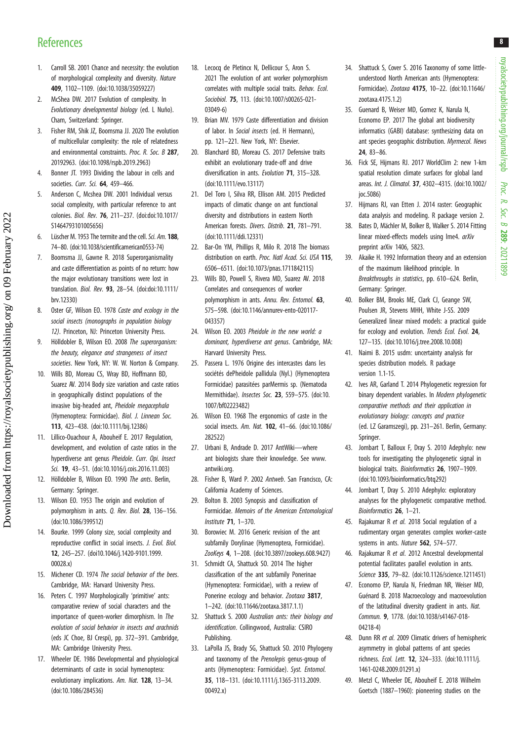## <span id="page-7-0"></span>**References**

- 1. Carroll SB. 2001 Chance and necessity: the evolution of morphological complexity and diversity. Nature 409, 1102–1109. [\(doi:10.1038/35059227\)](http://dx.doi.org/10.1038/35059227)
- 2. McShea DW. 2017 Evolution of complexity. In Evolutionary developmental biology (ed. L Nuño). Cham, Switzerland: Springer.
- 3. Fisher RM, Shik JZ, Boomsma JJ. 2020 The evolution of multicellular complexity: the role of relatedness and environmental constraints. Proc. R. Soc. B 287, 20192963. [\(doi:10.1098/rspb.2019.2963\)](http://dx.doi.org/10.1098/rspb.2019.2963)
- 4. Bonner JT. 1993 Dividing the labour in cells and societies. Curr. Sci. 64, 459-466.
- 5. Anderson C, Mcshea DW. 2001 Individual versus social complexity, with particular reference to ant colonies. Biol. Rev. 76, 211–237. [\(doi:doi:10.1017/](http://dx.doi.org/doi:10.1017/S1464793101005656) [S1464793101005656\)](http://dx.doi.org/doi:10.1017/S1464793101005656)
- 6. Lüscher M. 1953 The termite and the cell.Sci. Am. 188, 74–80. ([doi:10.1038/scientificamerican0553-74](http://dx.doi.org/10.1038/scientificamerican0553-74))
- 7. Boomsma JJ, Gawne R. 2018 Superorganismality and caste differentiation as points of no return: how the major evolutionary transitions were lost in translation. Biol. Rev. 93, 28–54. ([doi:doi:10.1111/](http://dx.doi.org/doi:10.1111/brv.12330) [brv.12330](http://dx.doi.org/doi:10.1111/brv.12330))
- 8. Oster GF, Wilson EO. 1978 Caste and ecology in the social insects (monographs in population biology 12). Princeton, NJ: Princeton University Press.
- 9. Hölldobler B, Wilson EO. 2008 The superorganism: the beauty, elegance and strangeness of insect societies. New York, NY: W. W. Norton & Company.
- 10. Wills BD, Moreau CS, Wray BD, Hoffmann BD, Suarez AV. 2014 Body size variation and caste ratios in geographically distinct populations of the invasive big-headed ant, Pheidole megacephala (Hymenoptera: Formicidae). Biol. J. Linnean Soc. 113, 423–438. ([doi:10.1111/bij.12386\)](http://dx.doi.org/10.1111/bij.12386)
- 11. Lillico-Ouachour A, Abouheif E. 2017 Regulation, development, and evolution of caste ratios in the hyperdiverse ant genus Pheidole. Curr. Opi. Insect Sci. 19, 43–51. [\(doi:10.1016/j.cois.2016.11.003](http://dx.doi.org/10.1016/j.cois.2016.11.003))
- 12. Hölldobler B. Wilson EO. 1990 The ants. Berlin. Germany: Springer.
- 13. Wilson EO. 1953 The origin and evolution of polymorphism in ants. Q. Rev. Biol. 28, 136–156. [\(doi:10.1086/399512](http://dx.doi.org/10.1086/399512))
- 14. Bourke. 1999 Colony size, social complexity and reproductive conflict in social insects. J. Evol. Biol. 12, 245–257. ([doi10.1046/j.1420-9101.1999.](http://dx.doi.org/doi10.1046/j.1420-9101.1999.00028.x) [00028.x\)](http://dx.doi.org/doi10.1046/j.1420-9101.1999.00028.x)
- 15. Michener CD. 1974 The social behavior of the bees. Cambridge, MA: Harvard University Press.
- 16. Peters C. 1997 Morphologically 'primitive' ants: comparative review of social characters and the importance of queen-worker dimorphism. In The evolution of social behavior in insects and arachnids (eds JC Choe, BJ Crespi), pp. 372–391. Cambridge, MA: Cambridge University Press.
- 17. Wheeler DE. 1986 Developmental and physiological determinants of caste in social hymenoptera: evolutionary implications. Am. Nat. 128, 13–34. [\(doi:10.1086/284536](http://dx.doi.org/10.1086/284536))
- 18. Lecocq de Pletincx N, Dellicour S, Aron S. 2021 The evolution of ant worker polymorphism correlates with multiple social traits. Behav. Ecol. Sociobiol. 75, 113. [\(doi:10.1007/s00265-021-](http://dx.doi.org/10.1007/s00265-021-03049-6) [03049-6\)](http://dx.doi.org/10.1007/s00265-021-03049-6)
- 19. Brian MV. 1979 Caste differentiation and division of labor. In Social insects (ed. H Hermann), pp. 121–221. New York, NY: Elsevier.
- 20. Blanchard BD, Moreau CS. 2017 Defensive traits exhibit an evolutionary trade-off and drive diversification in ants. Evolution 71, 315–328. [\(doi:10.1111/evo.13117\)](http://dx.doi.org/10.1111/evo.13117)
- 21. Del Toro I, Silva RR, Ellison AM. 2015 Predicted impacts of climatic change on ant functional diversity and distributions in eastern North American forests. Divers. Distrib. 21, 781–791. [\(doi:10.1111/ddi.12331\)](http://dx.doi.org/10.1111/ddi.12331)
- 22. Bar-On YM, Phillips R, Milo R. 2018 The biomass distribution on earth. Proc. Natl Acad. Sci. USA 115. 6506–6511. [\(doi:10.1073/pnas.1711842115](http://dx.doi.org/10.1073/pnas.1711842115))
- 23. Wills BD, Powell S, Rivera MD, Suarez AV. 2018 Correlates and consequences of worker polymorphism in ants. Annu. Rev. Entomol. 63, 575–598. ([doi:10.1146/annurev-ento-020117-](http://dx.doi.org/10.1146/annurev-ento-020117-043357) [043357](http://dx.doi.org/10.1146/annurev-ento-020117-043357))
- 24. Wilson EO. 2003 Pheidole in the new world: a dominant, hyperdiverse ant genus. Cambridge, MA: Harvard University Press.
- 25. Passera L. 1976 Origine des intercastes dans les sociétés dePheidole pallidula (Nyl.) (Hymenoptera Formicidae) parasitées parMermis sp. (Nematoda Mermithidae). Insectes Soc. 23, 559–575. [\(doi:10.](http://dx.doi.org/10.1007/bf02223482) [1007/bf02223482](http://dx.doi.org/10.1007/bf02223482))
- 26. Wilson EO. 1968 The ergonomics of caste in the social insects. Am. Nat. 102, 41–66. [\(doi:10.1086/](http://dx.doi.org/10.1086/282522) [282522](http://dx.doi.org/10.1086/282522))
- 27. Urbani B, Andrade D. 2017 AntWiki—where ant biologists share their knowledge. See [www.](http://www.antwiki.org) [antwiki.org.](http://www.antwiki.org)
- 28. Fisher B, Ward P. 2002 Antweb. San Francisco, CA: California Academy of Sciences.
- 29. Bolton B. 2003 Synopsis and classification of Formicidae. Memoirs of the American Entomological Institute 71, 1–370.
- 30. Borowiec M. 2016 Generic revision of the ant subfamily Dorylinae (Hymenoptera, Formicidae). ZooKeys 4, 1–208. ([doi:10.3897/zookeys.608.9427\)](http://dx.doi.org/10.3897/zookeys.608.9427)
- 31. Schmidt CA, Shattuck SO. 2014 The higher classification of the ant subfamily Ponerinae (Hymenoptera: Formicidae), with a review of Ponerine ecology and behavior. Zootaxa 3817, 1–242. ([doi:10.11646/zootaxa.3817.1.1](http://dx.doi.org/10.11646/zootaxa.3817.1.1))
- 32. Shattuck S. 2000 Australian ants: their biology and identification. Collingwood, Australia: CSIRO Publishing.
- 33. LaPolla JS, Brady SG, Shattuck SO. 2010 Phylogeny and taxonomy of the Prenolepis genus-group of ants (Hymenoptera: Formicidae). Syst. Entomol. 35, 118–131. ([doi:10.1111/j.1365-3113.2009.](http://dx.doi.org/10.1111/j.1365-3113.2009.00492.x) [00492.x](http://dx.doi.org/10.1111/j.1365-3113.2009.00492.x))
- 34. Shattuck S, Cover S. 2016 Taxonomy of some littleunderstood North American ants (Hymenoptera: Formicidae). Zootaxa 4175, 10–22. [\(doi:10.11646/](http://dx.doi.org/10.11646/zootaxa.4175.1.2) [zootaxa.4175.1.2](http://dx.doi.org/10.11646/zootaxa.4175.1.2))
- 35. Guenard B, Weiser MD, Gomez K, Narula N, Economo EP. 2017 The global ant biodiversity informatics (GABI) database: synthesizing data on ant species geographic distribution. Myrmecol. News 24, 83–86.
- 36. Fick SE, Hijmans RJ. 2017 WorldClim 2: new 1-km spatial resolution climate surfaces for global land areas. Int. J. Climatol. 37, 4302–4315. [\(doi:10.1002/](http://dx.doi.org/10.1002/joc.5086) [joc.5086\)](http://dx.doi.org/10.1002/joc.5086)
- 37. Hijmans RJ, van Etten J. 2014 raster: Geographic data analysis and modeling. R package version 2.
- 38. Bates D, Mächler M, Bolker B, Walker S. 2014 Fitting linear mixed-effects models using lme4. arXiv preprint arXiv 1406, 5823.
- 39. Akaike H. 1992 Information theory and an extension of the maximum likelihood principle. In Breakthroughs in statistics, pp. 610–624. Berlin, Germany: Springer.
- 40. Bolker BM, Brooks ME, Clark CJ, Geange SW, Poulsen JR, Stevens MHH, White J-SS. 2009 Generalized linear mixed models: a practical guide for ecology and evolution. Trends Ecol. Evol. 24, 127–135. [\(doi:10.1016/j.tree.2008.10.008](http://dx.doi.org/10.1016/j.tree.2008.10.008))
- 41. Naimi B. 2015 usdm: uncertainty analysis for species distribution models. R package version 1.1-15.
- 42. Ives AR, Garland T. 2014 Phylogenetic regression for binary dependent variables. In Modern phylogenetic comparative methods and their application in evolutionary biology: concepts and practice (ed. LZ Garamszegi), pp. 231–261. Berlin, Germany: Springer.
- 43. Jombart T, Balloux F, Dray S. 2010 Adephylo: new tools for investigating the phylogenetic signal in biological traits. Bioinformatics 26, 1907–1909. ([doi:10.1093/bioinformatics/btq292](http://dx.doi.org/10.1093/bioinformatics/btq292))
- 44. Jombart T, Dray S. 2010 Adephylo: exploratory analyses for the phylogenetic comparative method. Bioinformatics 26, 1-21.
- 45. Rajakumar R et al. 2018 Social regulation of a rudimentary organ generates complex worker-caste systems in ants. Nature 562, 574-577.
- 46. Rajakumar R et al. 2012 Ancestral developmental potential facilitates parallel evolution in ants. Science 335, 79–82. ([doi:10.1126/science.1211451\)](http://dx.doi.org/10.1126/science.1211451)
- 47. Economo EP, Narula N, Friedman NR, Weiser MD, Guénard B. 2018 Macroecology and macroevolution of the latitudinal diversity gradient in ants. Nat. Commun. 9, 1778. ([doi:10.1038/s41467-018-](http://dx.doi.org/10.1038/s41467-018-04218-4) [04218-4](http://dx.doi.org/10.1038/s41467-018-04218-4))
- 48. Dunn RR et al. 2009 Climatic drivers of hemispheric asymmetry in global patterns of ant species richness. Ecol. Lett. 12, 324–333. ([doi:10.1111/j.](http://dx.doi.org/10.1111/j.1461-0248.2009.01291.x) [1461-0248.2009.01291.x\)](http://dx.doi.org/10.1111/j.1461-0248.2009.01291.x)
- 49. Metzl C, Wheeler DE, Abouheif E. 2018 Wilhelm Goetsch (1887–1960): pioneering studies on the